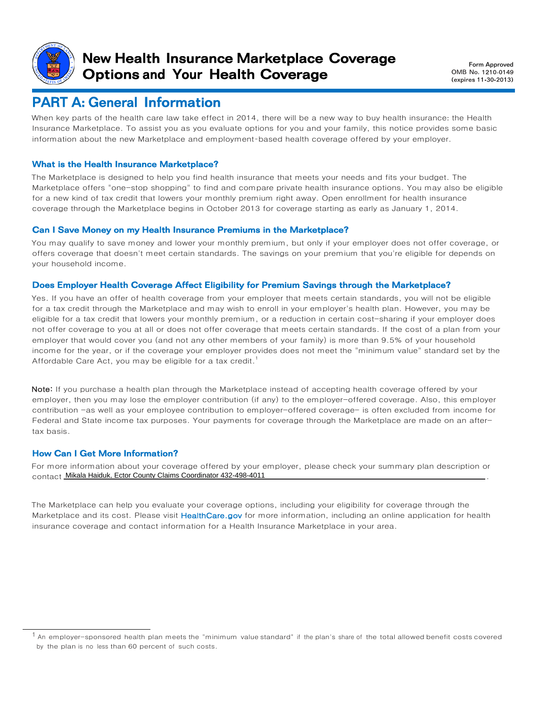

## New Health Insurance Marketplace Coverage Options and Your Health Coverage

 Form Approved OMB No. 1210-0149 (expires 11-30-2013)

# PART A: General Information

When key parts of the health care law take effect in 2014, there will be a new way to buy health insurance: the Health Insurance Marketplace. To assist you as you evaluate options for you and your family, this notice provides some basic information about the new Marketplace and employment-based health coverage offered by your employer.

### What is the Health Insurance Marketplace?

The Marketplace is designed to help you find health insurance that meets your needs and fits your budget. The Marketplace offers "one-stop shopping" to find and compare private health insurance options. You may also be eligible for a new kind of tax credit that lowers your monthly premium right away. Open enrollment for health insurance coverage through the Marketplace begins in October 2013 for coverage starting as early as January 1, 2014.

#### Can I Save Money on my Health Insurance Premiums in the Marketplace?

You may qualify to save money and lower your monthly premium, but only if your employer does not offer coverage, or offers coverage that doesn't meet certain standards. The savings on your premium that you're eligible for depends on your household income.

#### Does Employer Health Coverage Affect Eligibility for Premium Savings through the Marketplace?

Yes. If you have an offer of health coverage from your employer that meets certain standards, you will not be eligible for a tax credit through the Marketplace and may wish to enroll in your employer's health plan. However, you may be eligible for a tax credit that lowers your monthly premium, or a reduction in certain cost-sharing if your employer does not offer coverage to you at all or does not offer coverage that meets certain standards. If the cost of a plan from your employer that would cover you (and not any other members of your family) is more than 9.5% of your household income for the year, or if the coverage your employer provides does not meet the "minimum value" standard set by the Affordable Care Act, you may be eligible for a tax credit.<sup>1</sup>

Note: If you purchase a health plan through the Marketplace instead of accepting health coverage offered by your employer, then you may lose the employer contribution (if any) to the employer-offered coverage. Also, this employer contribution -as well as your employee contribution to employer-offered coverage- is often excluded from income for Federal and State income tax purposes. Your payments for coverage through the Marketplace are made on an aftertax basis.

### How Can I Get More Information?

For more information about your coverage offered by your employer, please check your summary plan description or contact . Mikala Haiduk, Ector County Claims Coordinator 432-498-4011

The Marketplace can help you evaluate your coverage options, including your eligibility for coverage through the Marketplace and its cost. Please visit HealthCare.gov for more information, including an online application for health insurance coverage and contact information for a Health Insurance Marketplace in your area.

 $^{\text{1}}$  An employer-sponsored health plan meets the "minimum value standard" if the plan's share of the total allowed benefit costs covered by the plan is no less than 60 percent of such costs.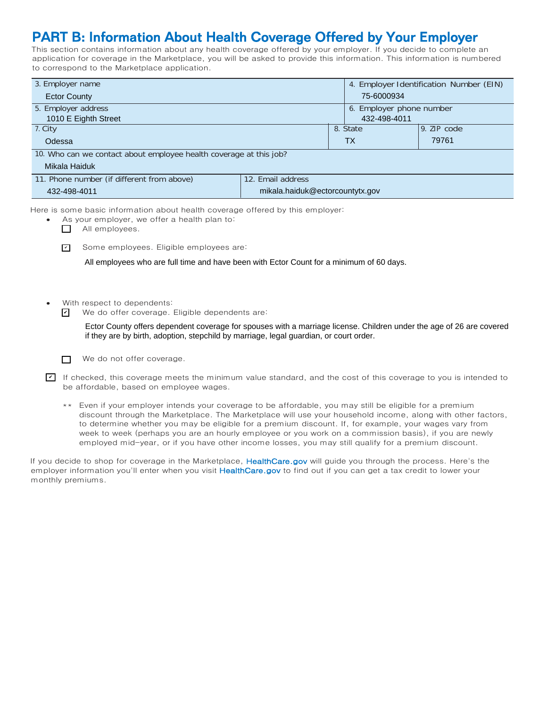# PART B: Information About Health Coverage Offered by Your Employer

This section contains information about any health coverage offered by your employer. If you decide to complete an application for coverage in the Marketplace, you will be asked to provide this information. This information is numbered to correspond to the Marketplace application.

| 3. Employer name                                                   | 4. Employer Identification Number (EIN) |           |               |  |  |  |
|--------------------------------------------------------------------|-----------------------------------------|-----------|---------------|--|--|--|
| <b>Ector County</b>                                                | 75-6000934                              |           |               |  |  |  |
| 5. Employer address                                                | 6. Employer phone number                |           |               |  |  |  |
| 1010 E Eighth Street                                               | 432-498-4011                            |           |               |  |  |  |
| 7. City                                                            |                                         | 8. State  | $9.$ ZIP code |  |  |  |
| Odessa                                                             |                                         | <b>TX</b> | 79761         |  |  |  |
| 10. Who can we contact about employee health coverage at this job? |                                         |           |               |  |  |  |
| Mikala Haiduk                                                      |                                         |           |               |  |  |  |
| 11. Phone number (if different from above)                         | 12. Email address                       |           |               |  |  |  |
| 432-498-4011                                                       | mikala.haiduk@ectorcountytx.gov         |           |               |  |  |  |

Here is some basic information about health coverage offered by this employer:

- As your employer, we offer a health plan to:
	- All employees.
	- Some employees. Eligible employees are: ✔

All employees who are full time and have been with Ector Count for a minimum of 60 days.

- With respect to dependents:
	- We do offer coverage. Eligible dependents are: ✔

Ector County offers dependent coverage for spouses with a marriage license. Children under the age of 26 are covered if they are by birth, adoption, stepchild by marriage, legal guardian, or court order.

 $\Box$ We do not offer coverage.

If checked, this coverage meets the minimum value standard, and the cost of this coverage to you is intended to be affordable, based on employee wages.

\*\* Even if your employer intends your coverage to be affordable, you may still be eligible for a premium discount through the Marketplace. The Marketplace will use your household income, along with other factors, to determine whether you may be eligible for a premium discount. If, for example, your wages vary from week to week (perhaps you are an hourly employee or you work on a commission basis), if you are newly employed mid-year, or if you have other income losses, you may still qualify for a premium discount.

If you decide to shop for coverage in the Marketplace, HealthCare.gov will guide you through the process. Here's the employer information you'll enter when you visit HealthCare.gov to find out if you can get a tax credit to lower your monthly premiums.